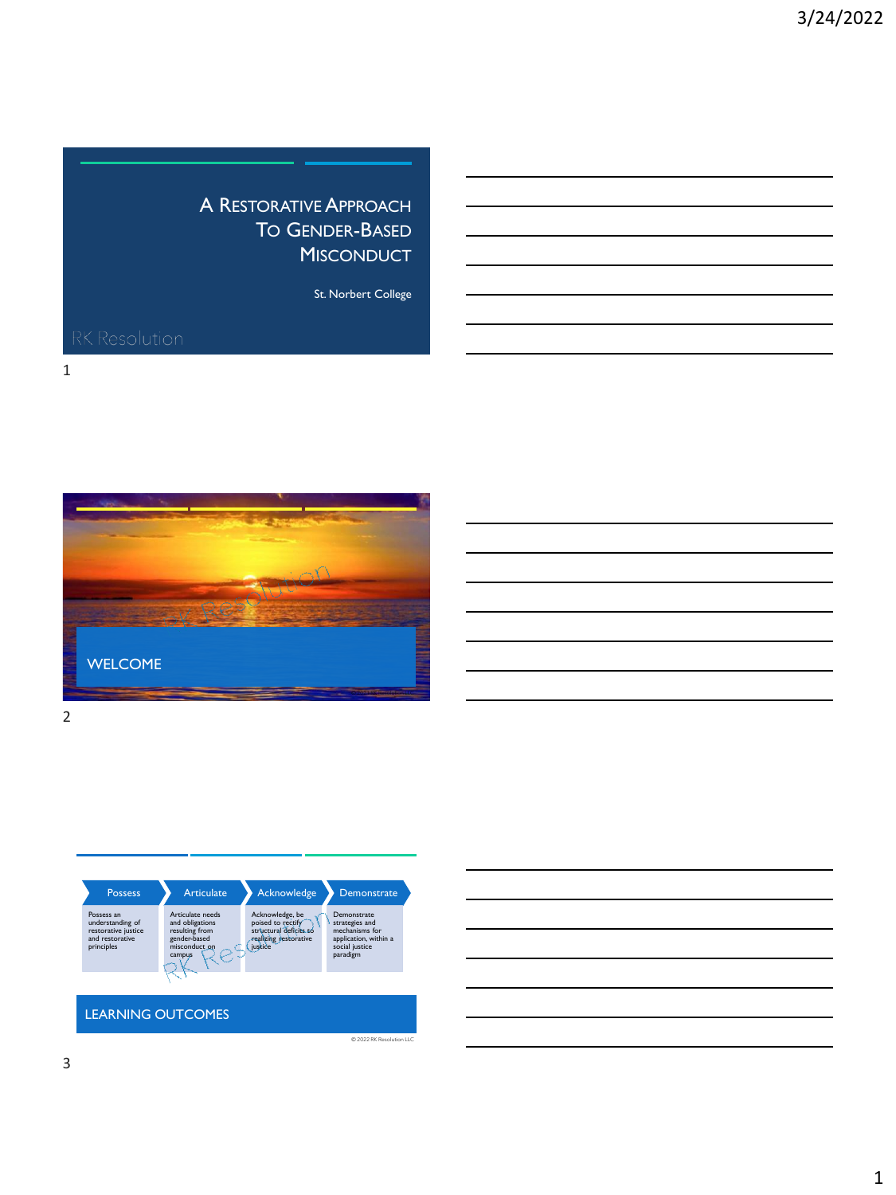## A RESTORATIVE APPROACH TO GENDER-BASED **MISCONDUCT**

St. Norbert College

1





 $@ 2022$  RK Resolu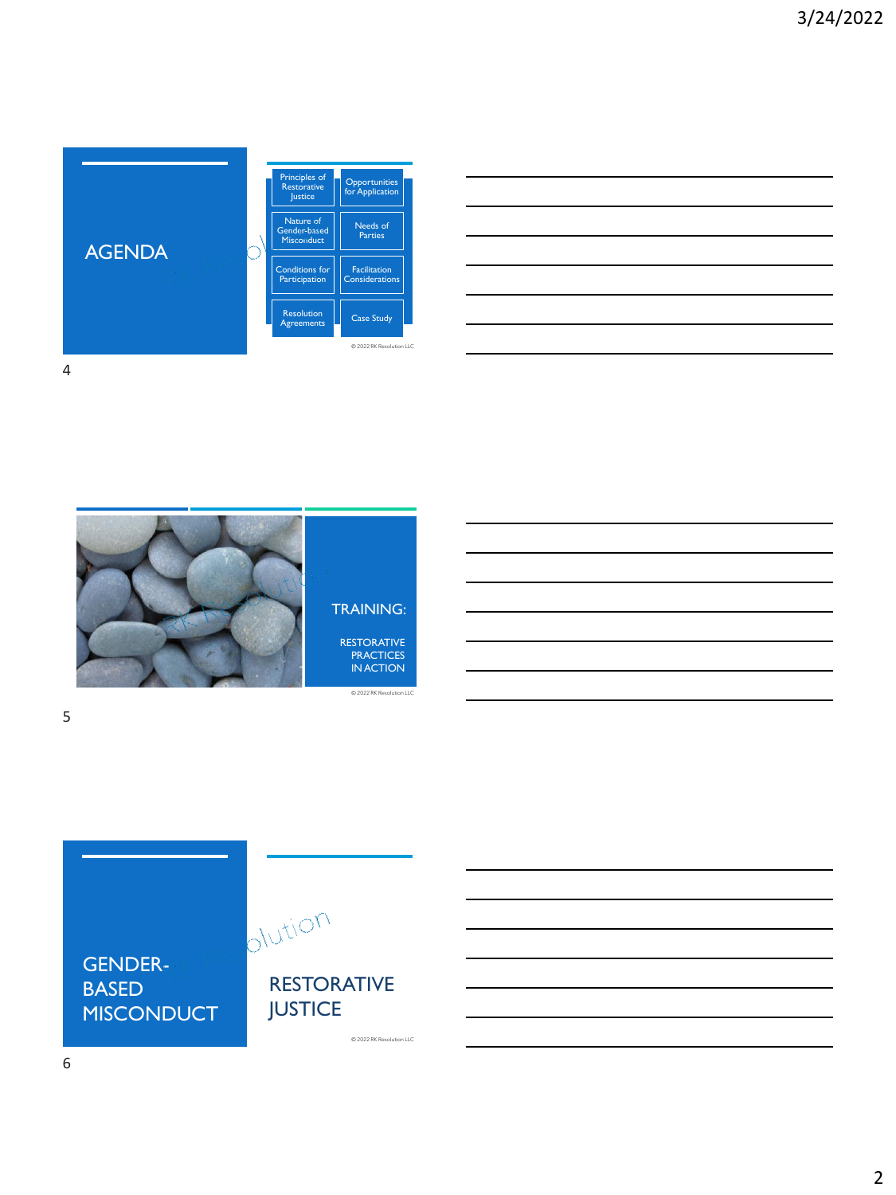

| <u> 1989 - Johann Stoff, amerikansk politiker (d. 1989)</u>                                                     |  |  |
|-----------------------------------------------------------------------------------------------------------------|--|--|
|                                                                                                                 |  |  |
|                                                                                                                 |  |  |
|                                                                                                                 |  |  |
|                                                                                                                 |  |  |
|                                                                                                                 |  |  |
|                                                                                                                 |  |  |
|                                                                                                                 |  |  |
|                                                                                                                 |  |  |
|                                                                                                                 |  |  |
| the contract of the contract of the contract of the contract of the contract of the contract of the contract of |  |  |
|                                                                                                                 |  |  |
|                                                                                                                 |  |  |
|                                                                                                                 |  |  |
|                                                                                                                 |  |  |
|                                                                                                                 |  |  |





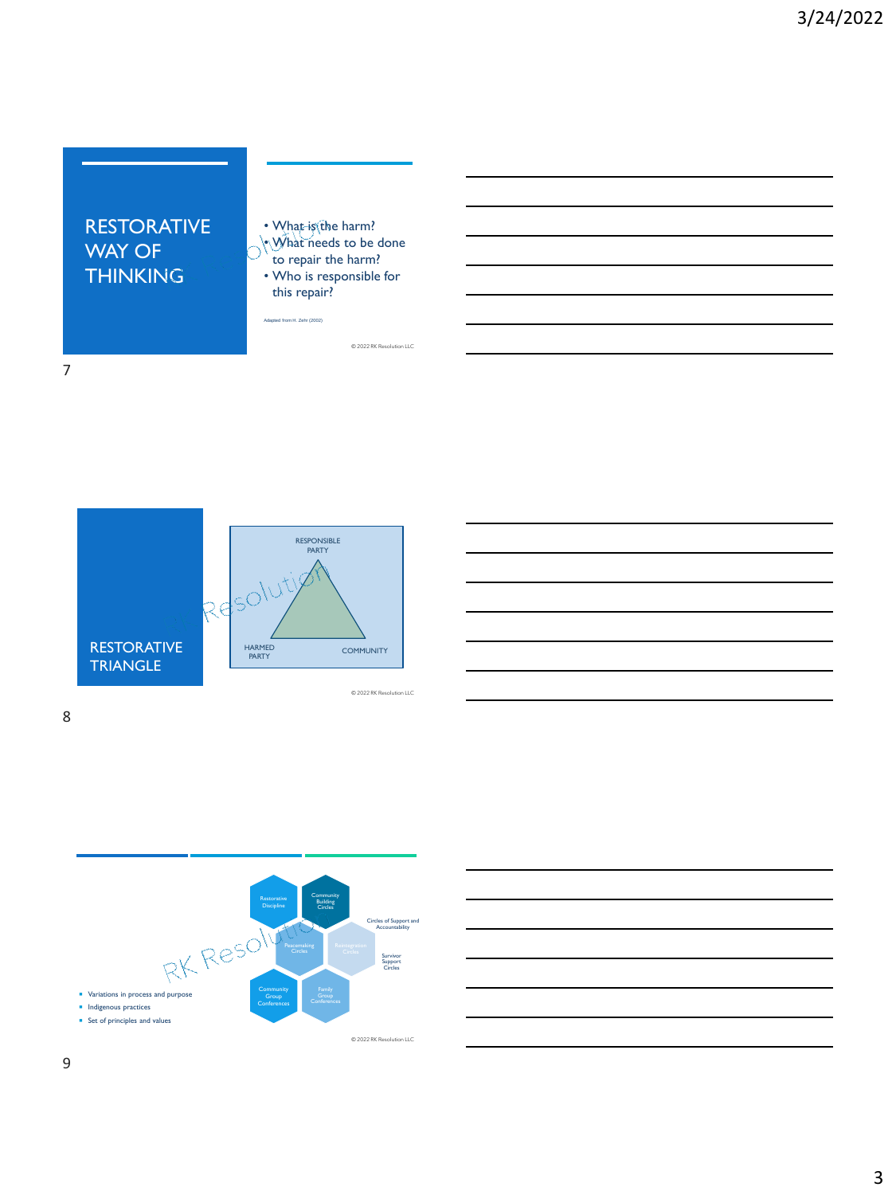## RESTORATIVE WAY OF **THINKING**

- What is the harm?
- What needs to be done to repair the harm?
- Who is responsible for this repair?

© 2022 RK Resolution LLC

Adapted from H. Zehr (2002)







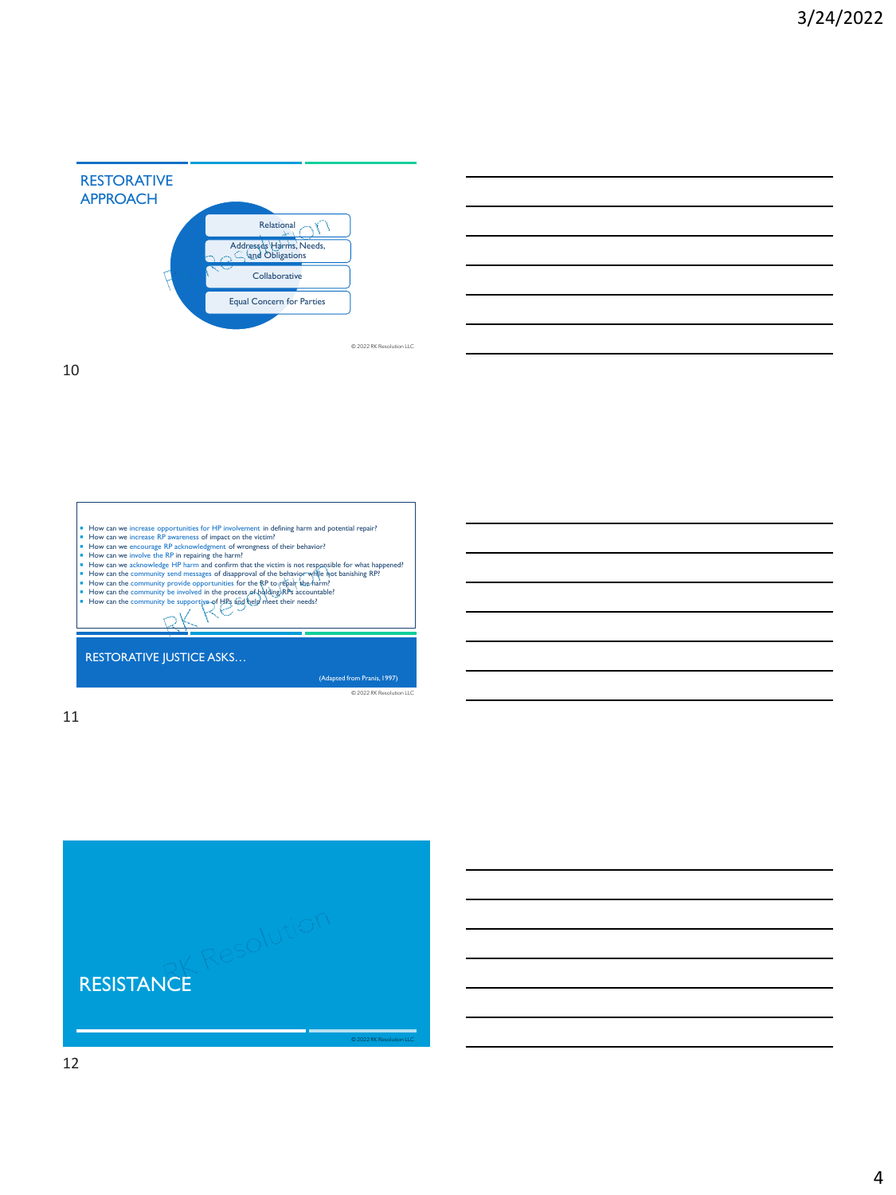





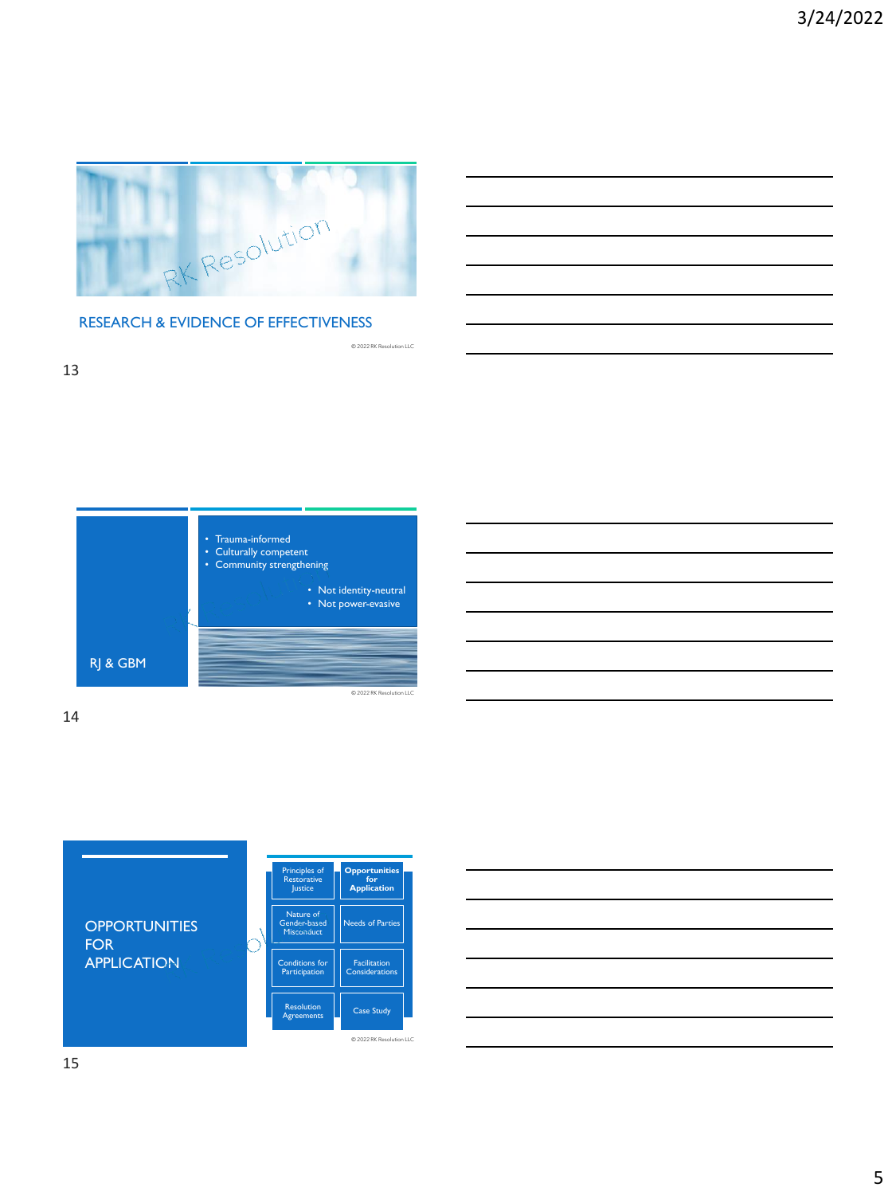

© 2022 RK Resolution LLC

#### RESEARCH & EVIDENCE OF EFFECTIVENESS







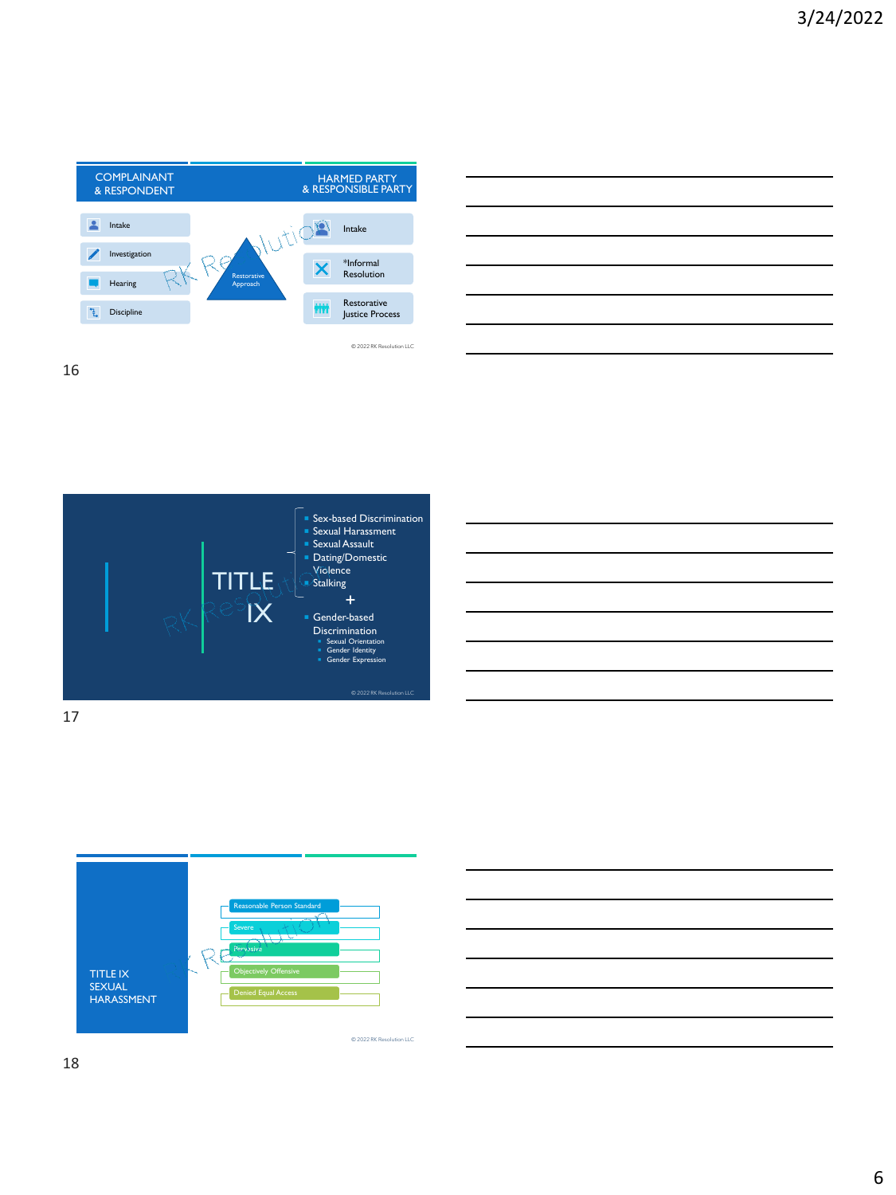









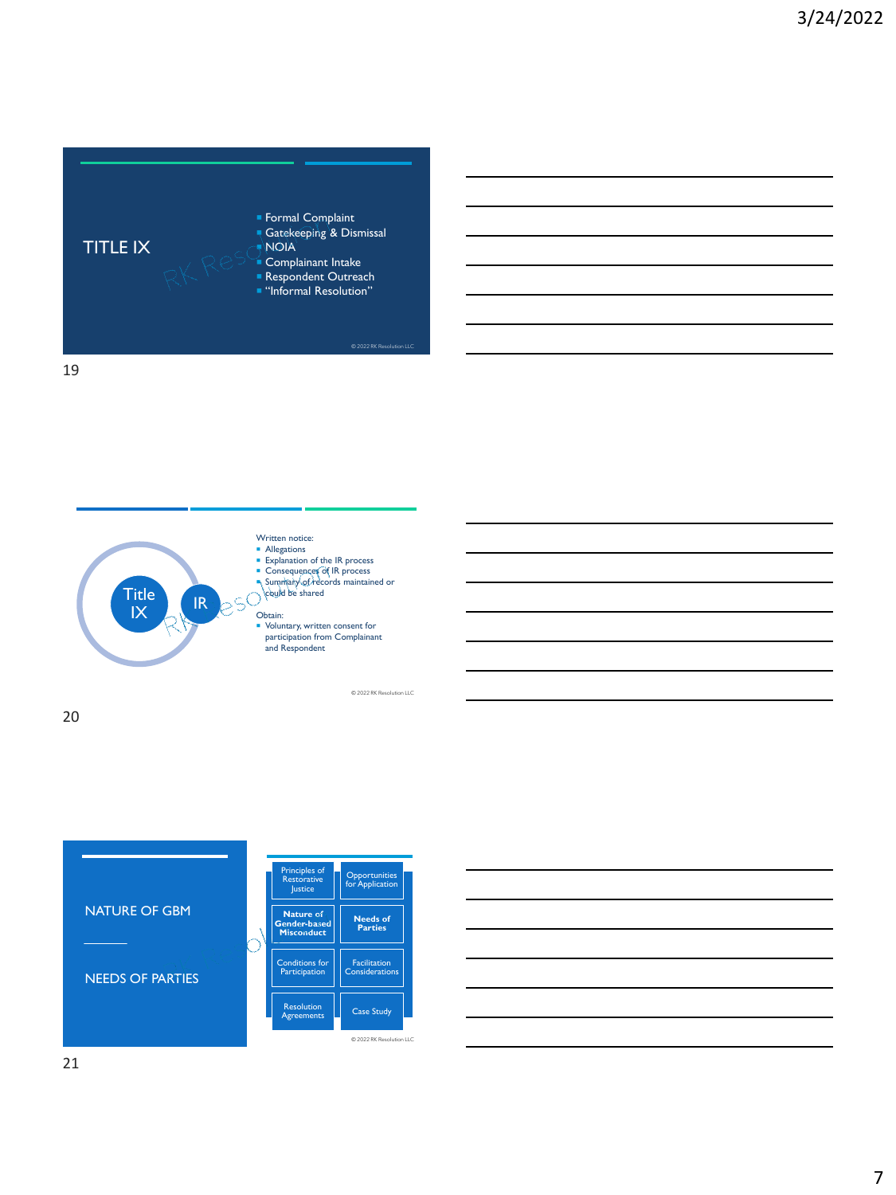



- Written notice: **Allegations**
- 
- **Explanation of the IR process<br>
Consequences of IR process<br>
Summary of records maintained or<br>
Scould be shared**
- 

- Obtain:
- Voluntary, written consent for participation from Complainant and Respondent

© 2022 RK Resolution LLC



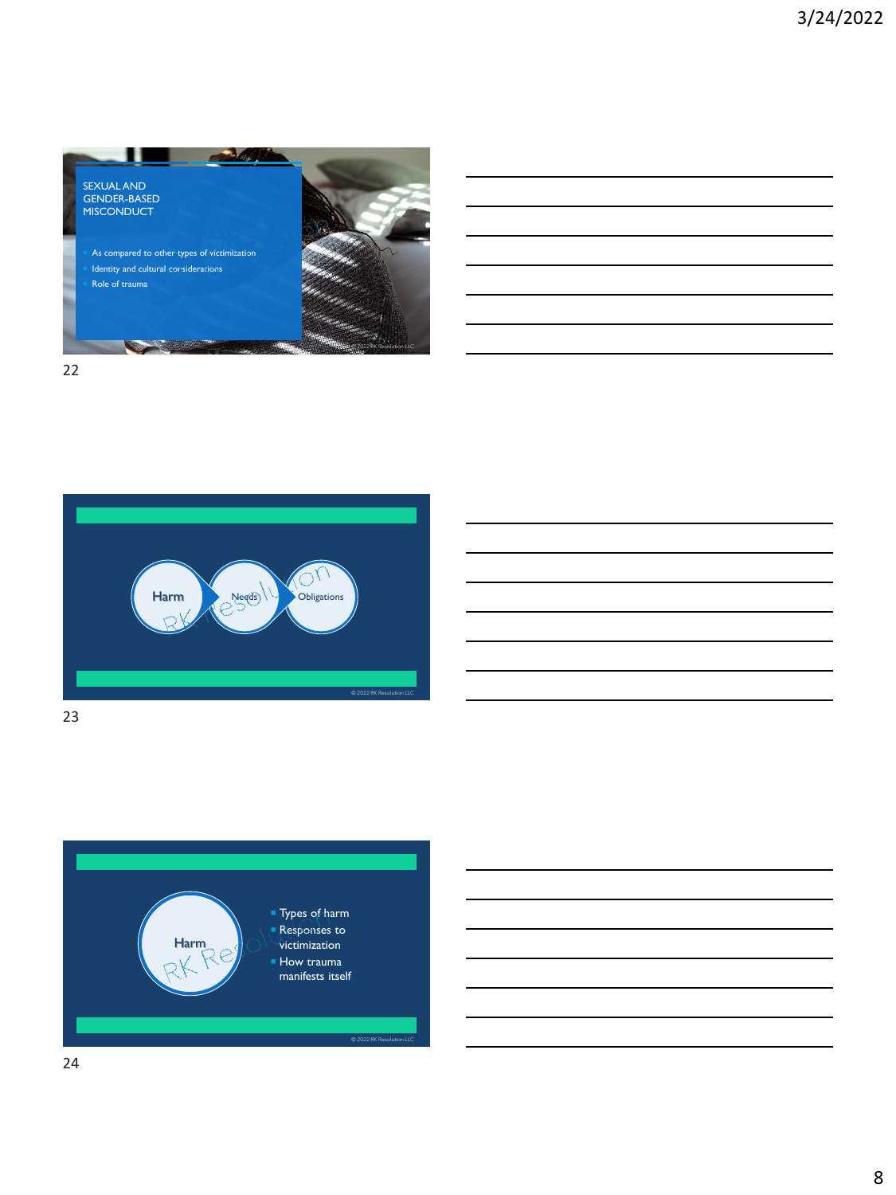







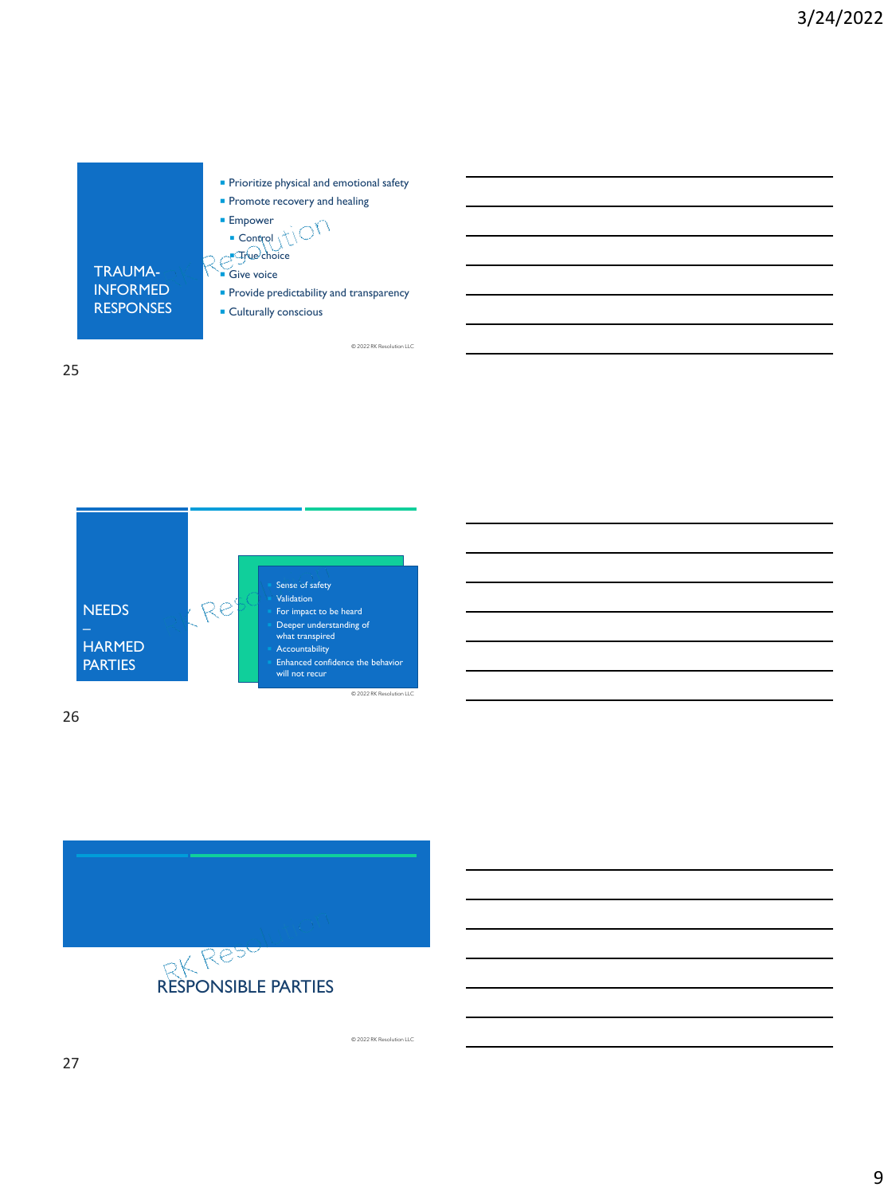







© 2022 RK Resolution LLC

© 2022 RK Resolution LLC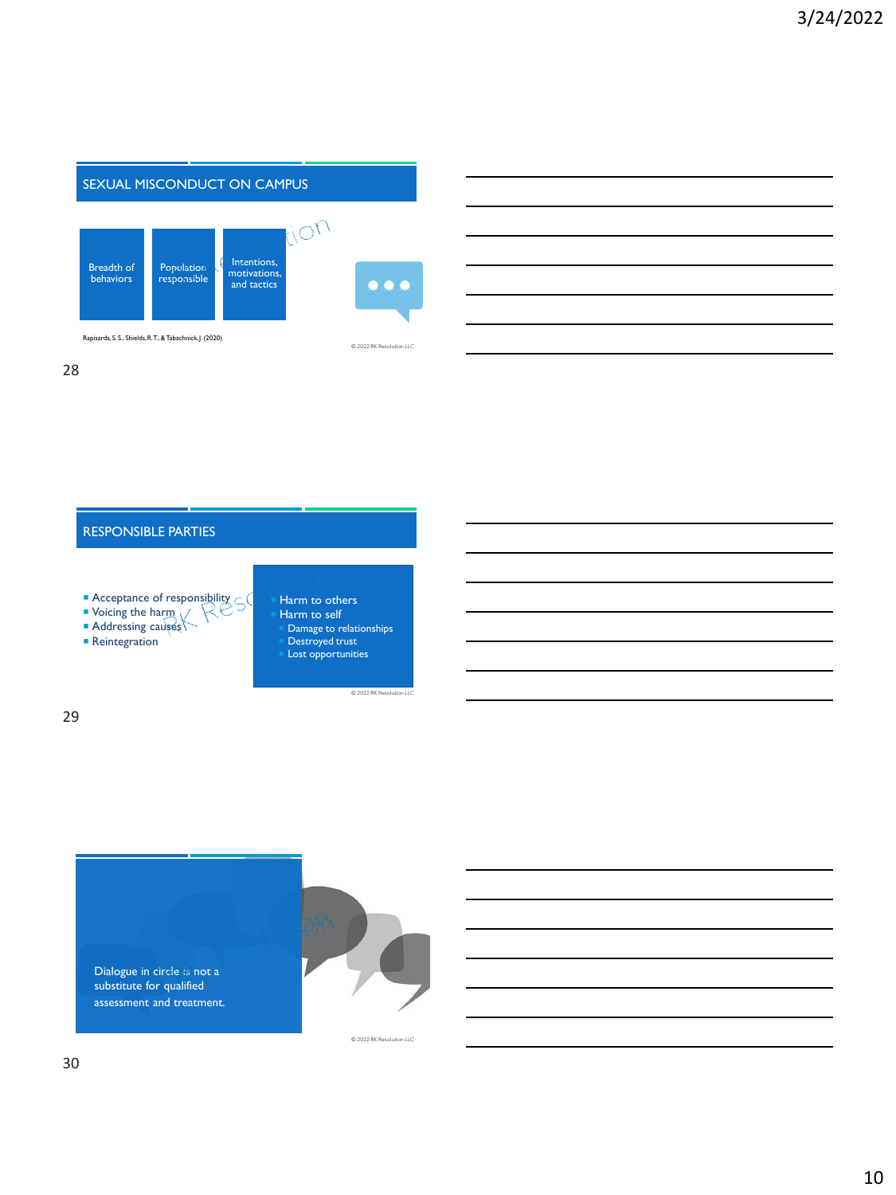

Rapisarda, S. S., Shields, R. T., & Tabachnick, J. (2020)

28



- Acceptance of responsibility  $\subset$
- **Voicing the harm**
- **Addressing causes**
- Reintegration
- Harm to others Harm to self Damage to relationships Destroyed trust Lost opportunities

© 2022 RK Resolutio

© 2022 RK Resolution LLC

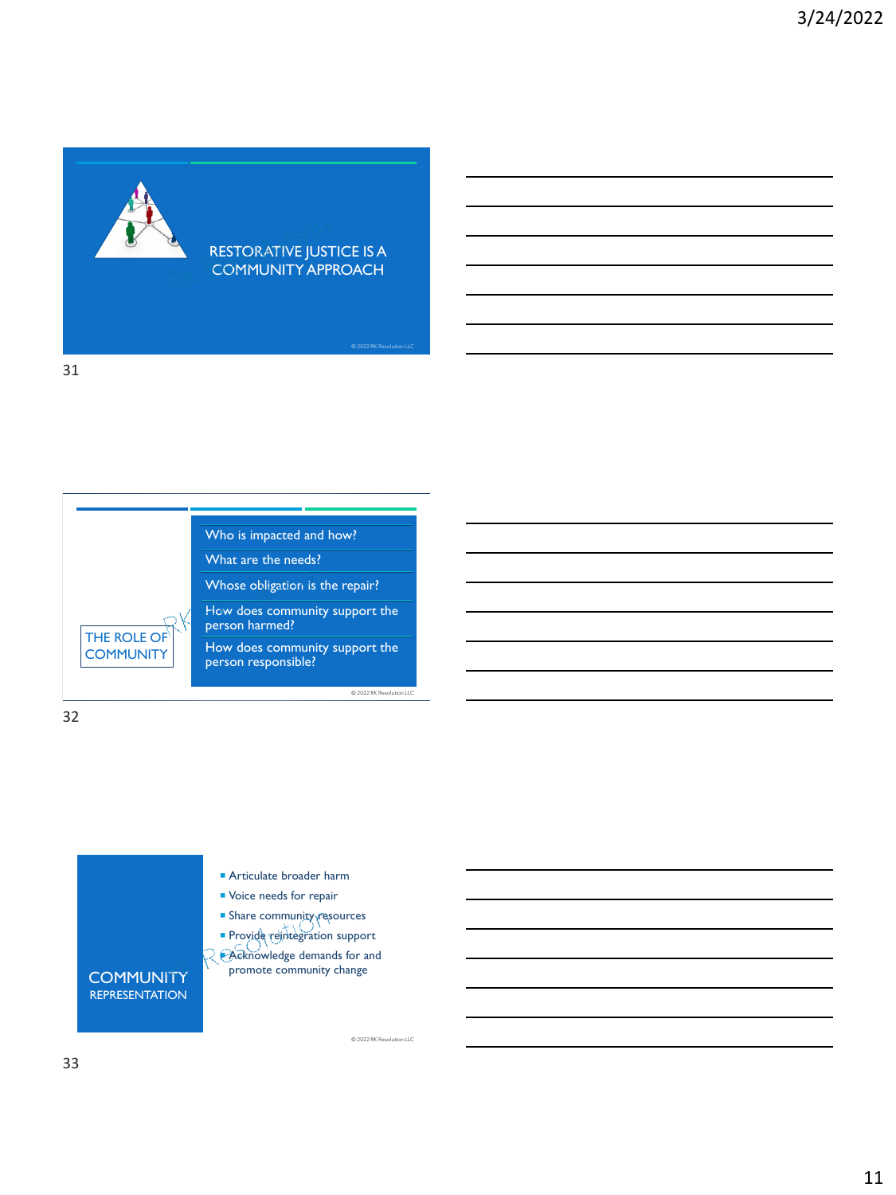

#### RESTORATIVE JUSTICE IS A COMMUNITY APPROACH

© 2022 RK Resolution LLC

© 2022 RK Resolution LLC

© 2022 RK Resolution LLC

31

Who is impacted and how?

What are the needs?

Whose obligation is the repair?

How does community support the person harmed?

How does community support the person responsible?

32

THE ROLE OF **COMMUNITY** 



- **Articulate broader harm**
- **Voice needs for repair**
- **Share community resources**
- **Provide reintegration support**

 Acknowledge demands for and promote community change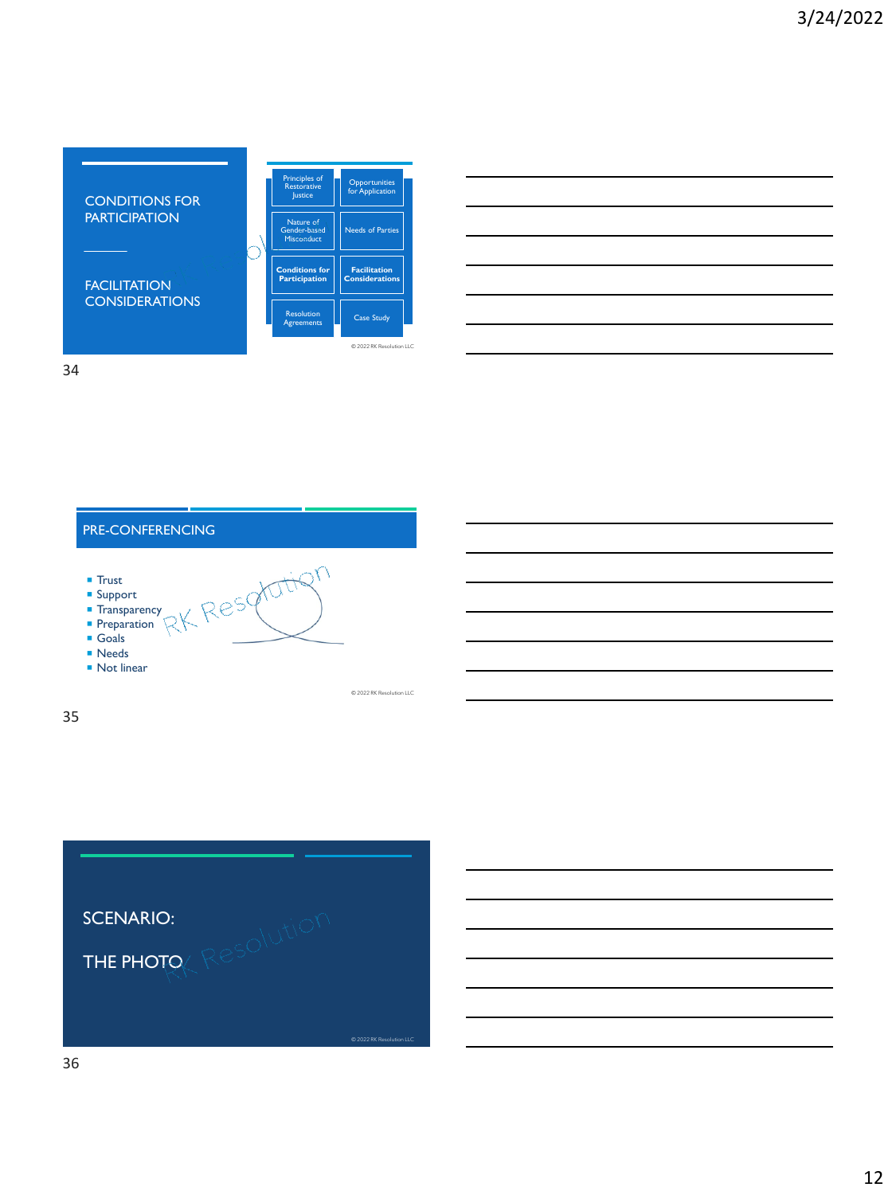CONDITIONS FOR **CONSIDERATIONS** Principles of **Restorative** Justice Opportunities for Application Nature of Gender-based Misconduct <mark>Needs of Parti</mark> **Conditions for Participation Facilit Considerations Resolution Agreements Case Study**  $\otimes$  2022 RK

34

### PRE-CONFERENCING

**PARTICIPATION** 

**FACILITATION** 

- $\blacksquare$  Trust
- **Support**
- **Transparency Preparation**
- Goals
- **Needs**
- Not linear

© 2022 RK Resolution LLC

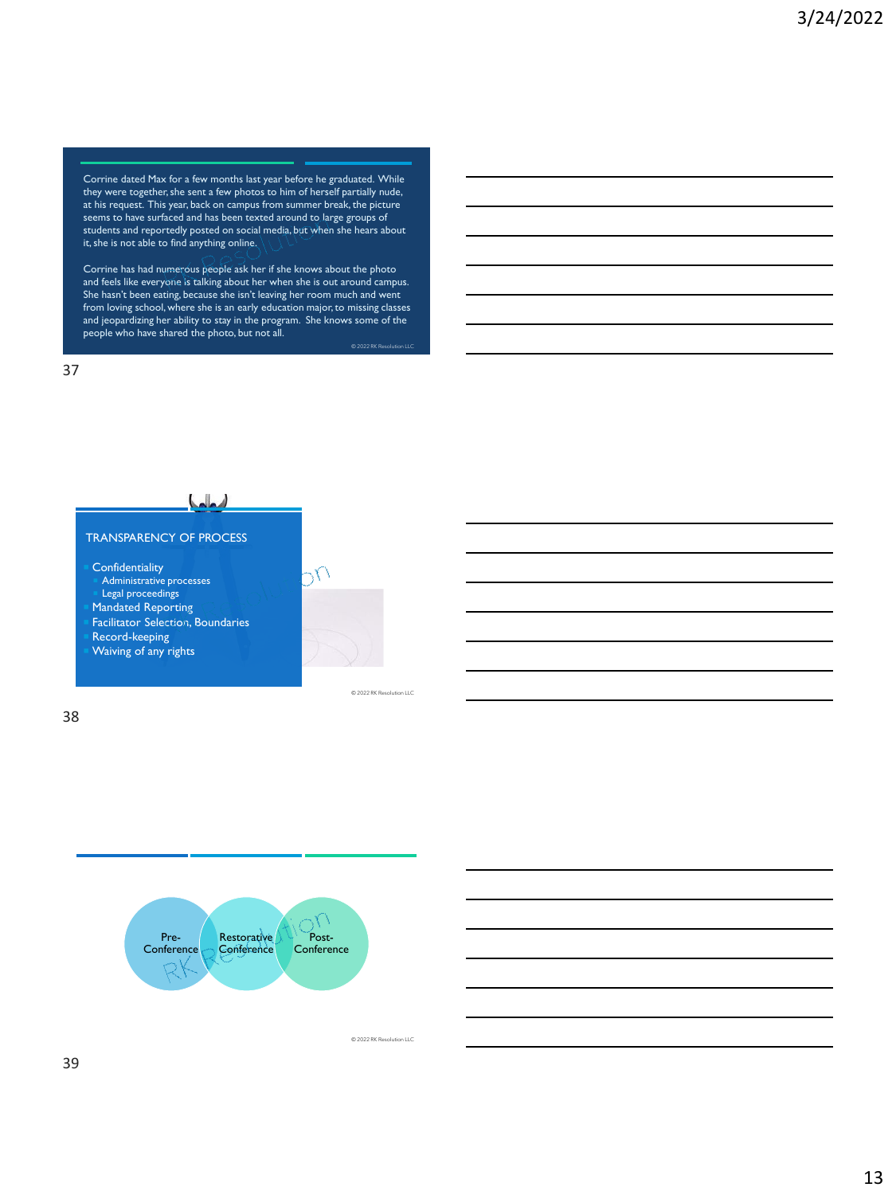Corrine dated Max for a few months last year before he graduated. While they were together, she sent a few photos to him of herself partially nude, at his request. This year, back on campus from summer break, the picture seems to have surfaced and has been texted around to large groups of students and reportedly posted on social media, but when she hears about it, she is not able to find anything online.

Corrine has had numerous people ask her if she knows about the photo and feels like everyone is talking about her when she is out around campus. She hasn't been eating, because she isn't leaving her room much and went from loving school, where she is an early education major, to missing classes and jeopardizing her ability to stay in the program. She knows some of the people who have shared the photo, but not all.

37



Pre-**Conference Restorative Conference** Post-**Conference** 

© 2022 RK Resolution LLC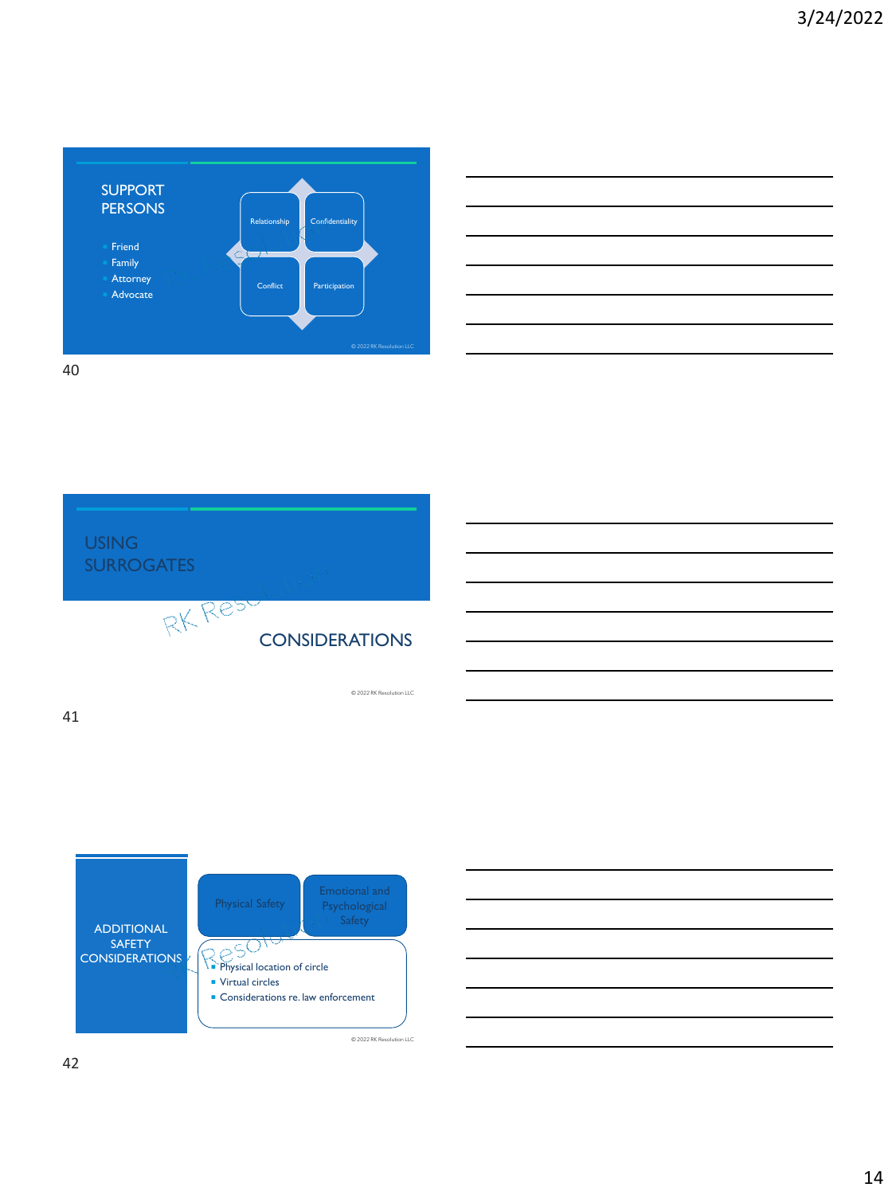



© 2022 RK Resolution LLC



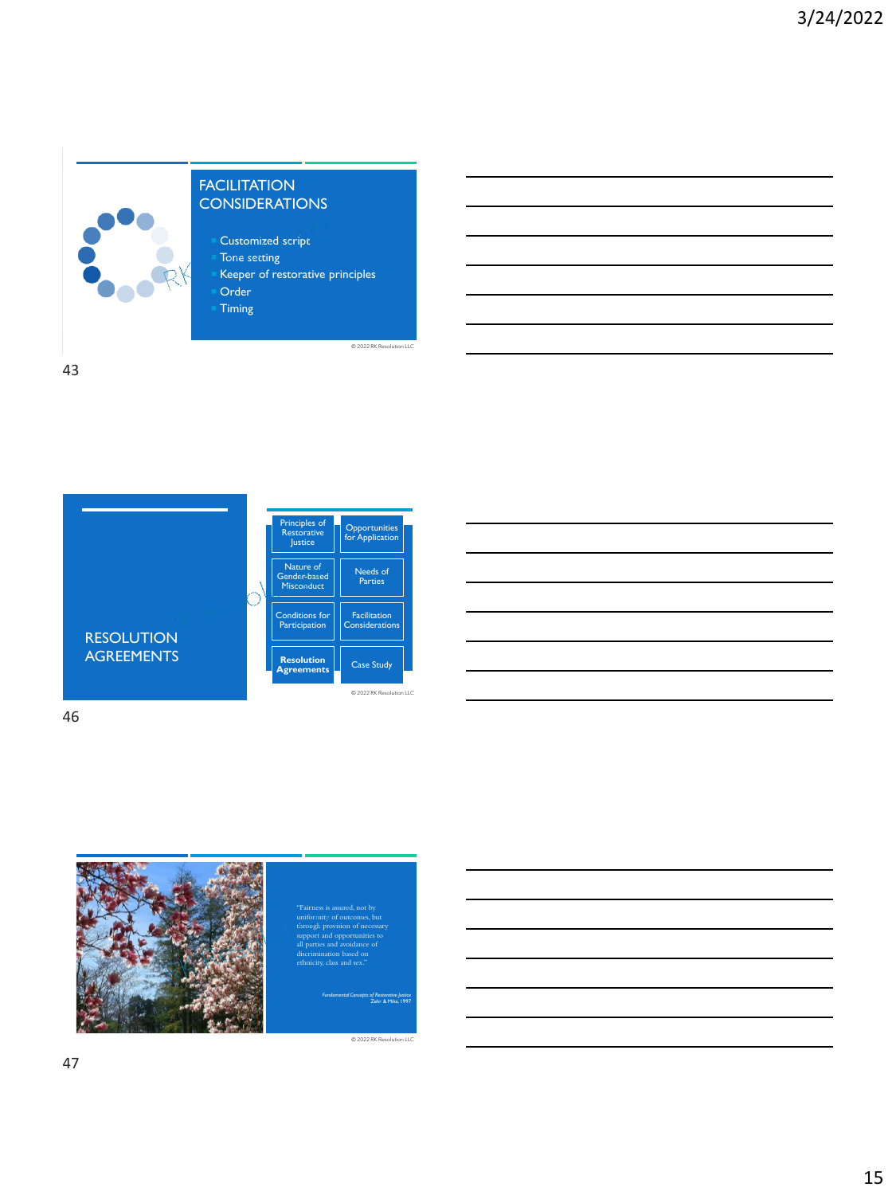



| _____ |  |  |
|-------|--|--|
|       |  |  |
|       |  |  |
|       |  |  |
|       |  |  |

46



#### uniformity of outcomes, but through provision of necessary support and opportunities to all parties and avoidance of discrimination based on ethnicity, class and sex."

 $\overline{\otimes}$  2022 RK R

 $\otimes$  2022 RK Re

*Fundamental Concepts of Restorative Justice* Zehr & Mika, 1997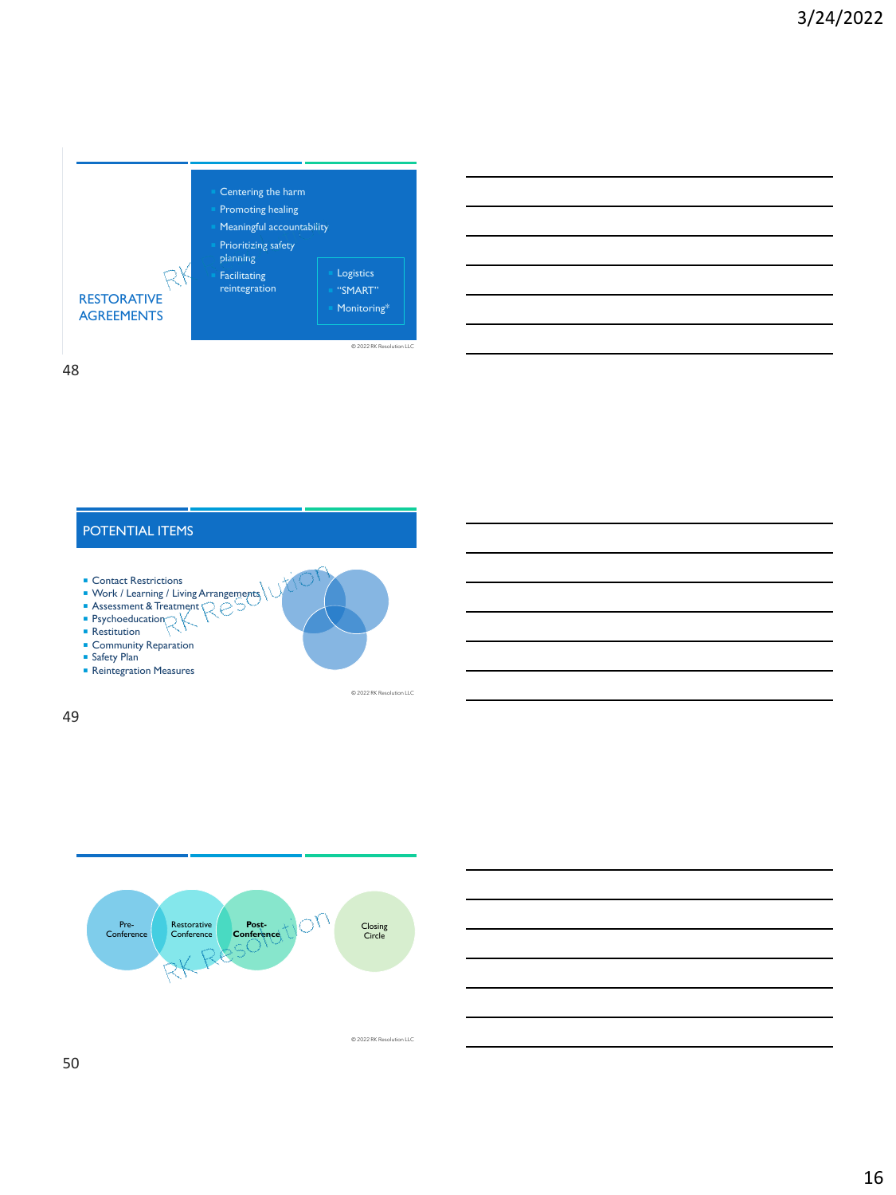





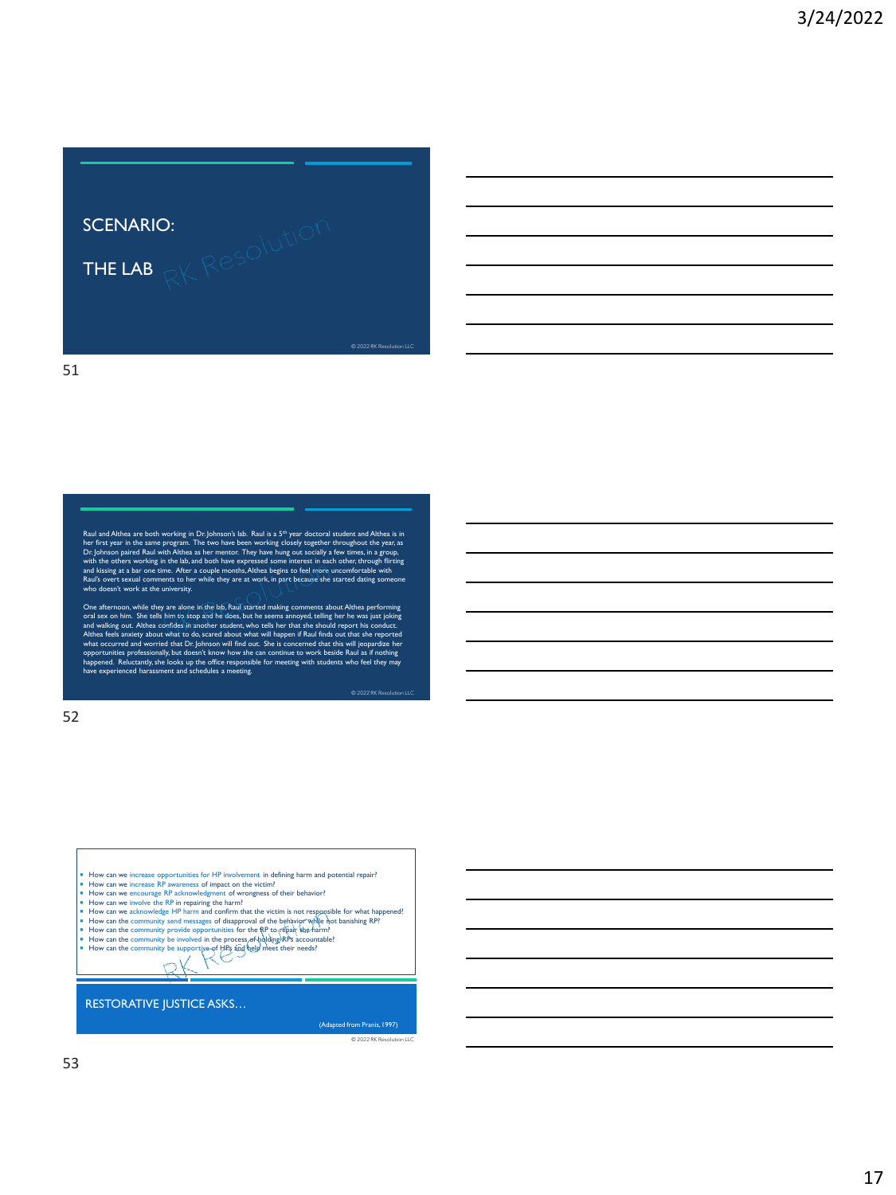

Raul and Althea are both working in Dr. Johnson's lab. Raul is a <sup>59</sup> year doctoral student and Althea is in<br>her first year in the same program. The two have been working closely together throughout the year, as<br>Dr. Johnso Raul's overt sexual comments to her while they are at work, in part because she started dating someone who doesn't work at the university.

One afternoon, while they are alone in the lab, Raul started making comments about Althea performing<br>oral sex on him. She tells him to stop and he does, but he seems annoyed, telling her he was just joking<br>and waking our.